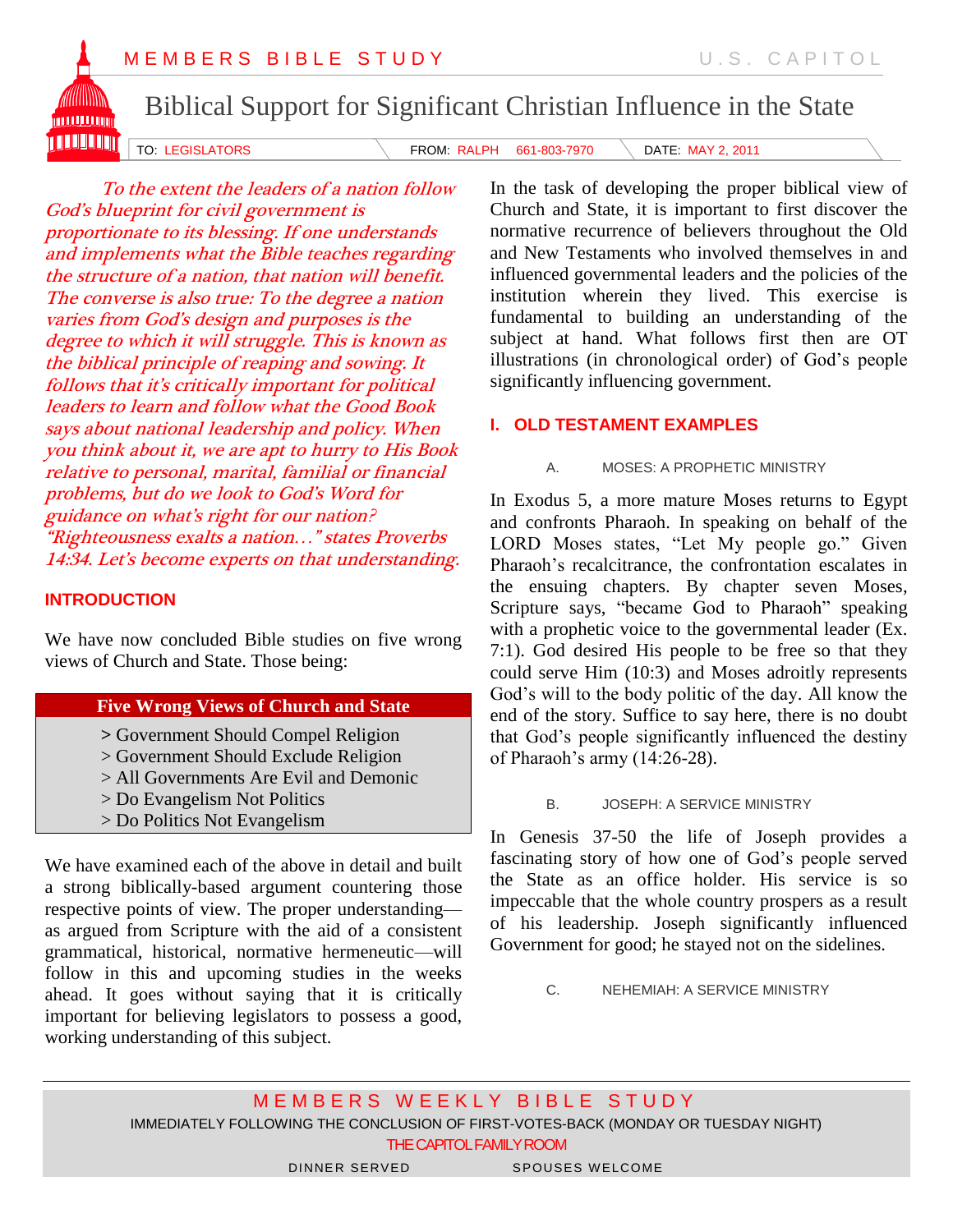

Biblical Support for Significant Christian Influence in the State

TO: LEGISLATORS **FROM: RALPH 661-803-7970** DATE: MAY 2, 2011

To the extent the leaders of a nation follow God's blueprint for civil government is proportionate to its blessing. If one understands and implements what the Bible teaches regarding the structure of a nation, that nation will benefit. The converse is also true: To the degree a nation varies from God's design and purposes is the degree to which it will struggle. This is known as the biblical principle of reaping and sowing. It follows that it's critically important for political leaders to learn and follow what the Good Book says about national leadership and policy. When you think about it, we are apt to hurry to His Book relative to personal, marital, familial or financial problems, but do we look to God's Word for guidance on what's right for our nation? "Righteousness exalts a nation…" states Proverbs 14:34. Let's become experts on that understanding.

## **INTRODUCTION**

We have now concluded Bible studies on five wrong views of Church and State. Those being:

## **Five Wrong Views of Church and State**

**>** Government Should Compel Religion

- > Government Should Exclude Religion
- > All Governments Are Evil and Demonic
- > Do Evangelism Not Politics
- > Do Politics Not Evangelism

We have examined each of the above in detail and built a strong biblically-based argument countering those respective points of view. The proper understanding as argued from Scripture with the aid of a consistent grammatical, historical, normative hermeneutic—will follow in this and upcoming studies in the weeks ahead. It goes without saying that it is critically important for believing legislators to possess a good, working understanding of this subject.

In the task of developing the proper biblical view of Church and State, it is important to first discover the normative recurrence of believers throughout the Old and New Testaments who involved themselves in and influenced governmental leaders and the policies of the institution wherein they lived. This exercise is fundamental to building an understanding of the subject at hand. What follows first then are OT illustrations (in chronological order) of God's people significantly influencing government.

## **I. OLD TESTAMENT EXAMPLES**

#### A. MOSES: A PROPHETIC MINISTRY

In Exodus 5, a more mature Moses returns to Egypt and confronts Pharaoh. In speaking on behalf of the LORD Moses states, "Let My people go." Given Pharaoh's recalcitrance, the confrontation escalates in the ensuing chapters. By chapter seven Moses, Scripture says, "became God to Pharaoh" speaking with a prophetic voice to the governmental leader (Ex. 7:1). God desired His people to be free so that they could serve Him (10:3) and Moses adroitly represents God's will to the body politic of the day. All know the end of the story. Suffice to say here, there is no doubt that God's people significantly influenced the destiny of Pharaoh's army  $(14:26-28)$ .

#### B. JOSEPH: A SERVICE MINISTRY

In Genesis 37-50 the life of Joseph provides a fascinating story of how one of God's people served the State as an office holder. His service is so impeccable that the whole country prospers as a result of his leadership. Joseph significantly influenced Government for good; he stayed not on the sidelines.

C. NEHEMIAH: A SERVICE MINISTRY

M E M B E R S W E E K L Y B I B L E S T U D Y IMMEDIATELY FOLLOWING THE CONCLUSION OF FIRST-VOTES-BACK (MONDAY OR TUESDAY NIGHT) THE CAPITOL FAMILY ROOM DINNER SERVED SPOUSES WELCOME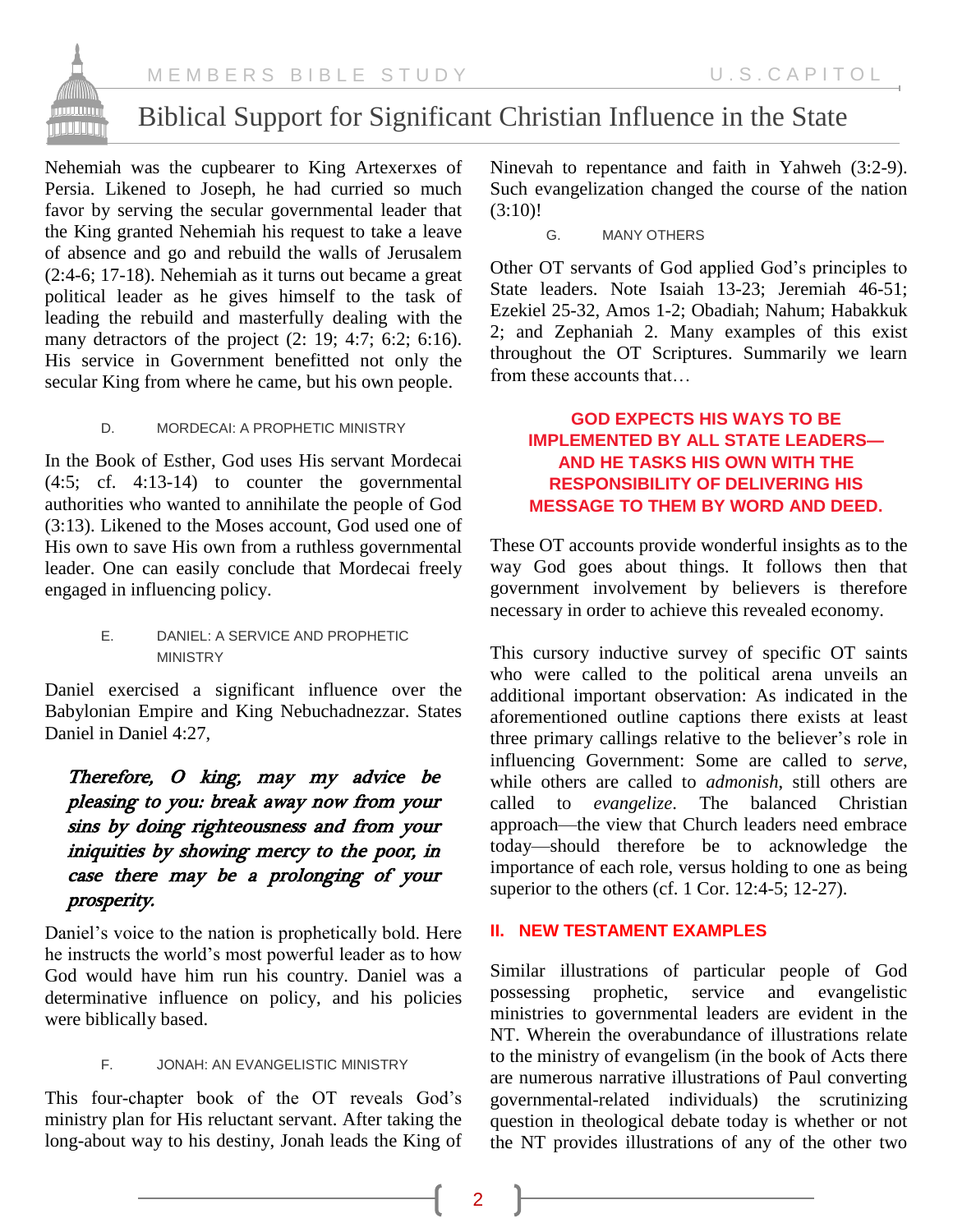

Nehemiah was the cupbearer to King Artexerxes of Persia. Likened to Joseph, he had curried so much favor by serving the secular governmental leader that the King granted Nehemiah his request to take a leave of absence and go and rebuild the walls of Jerusalem (2:4-6; 17-18). Nehemiah as it turns out became a great political leader as he gives himself to the task of leading the rebuild and masterfully dealing with the many detractors of the project (2: 19; 4:7; 6:2; 6:16). His service in Government benefitted not only the secular King from where he came, but his own people.

#### D. MORDECAI: A PROPHETIC MINISTRY

In the Book of Esther, God uses His servant Mordecai (4:5; cf. 4:13-14) to counter the governmental authorities who wanted to annihilate the people of God (3:13). Likened to the Moses account, God used one of His own to save His own from a ruthless governmental leader. One can easily conclude that Mordecai freely engaged in influencing policy.

#### E. DANIEL: A SERVICE AND PROPHETIC MINISTRY

Daniel exercised a significant influence over the Babylonian Empire and King Nebuchadnezzar. States Daniel in Daniel 4:27,

# Therefore, O king, may my advice be pleasing to you: break away now from your sins by doing righteousness and from your iniquities by showing mercy to the poor, in case there may be a prolonging of your prosperity.

Daniel's voice to the nation is prophetically bold. Here he instructs the world's most powerful leader as to how God would have him run his country. Daniel was a determinative influence on policy, and his policies were biblically based.

#### F. JONAH: AN EVANGELISTIC MINISTRY

This four-chapter book of the OT reveals God's ministry plan for His reluctant servant. After taking the long-about way to his destiny, Jonah leads the King of

Ninevah to repentance and faith in Yahweh (3:2-9). Such evangelization changed the course of the nation (3:10)!

G. MANY OTHERS

Other OT servants of God applied God's principles to State leaders. Note Isaiah 13-23; Jeremiah 46-51; Ezekiel 25-32, Amos 1-2; Obadiah; Nahum; Habakkuk 2; and Zephaniah 2. Many examples of this exist throughout the OT Scriptures. Summarily we learn from these accounts that

# **GOD EXPECTS HIS WAYS TO BE IMPLEMENTED BY ALL STATE LEADERS— AND HE TASKS HIS OWN WITH THE RESPONSIBILITY OF DELIVERING HIS MESSAGE TO THEM BY WORD AND DEED.**

These OT accounts provide wonderful insights as to the way God goes about things. It follows then that government involvement by believers is therefore necessary in order to achieve this revealed economy.

This cursory inductive survey of specific OT saints who were called to the political arena unveils an additional important observation: As indicated in the aforementioned outline captions there exists at least three primary callings relative to the believer's role in influencing Government: Some are called to *serve*, while others are called to *admonish*, still others are called to *evangelize*. The balanced Christian approach—the view that Church leaders need embrace today—should therefore be to acknowledge the importance of each role, versus holding to one as being superior to the others (cf. 1 Cor. 12:4-5; 12-27).

### **II. NEW TESTAMENT EXAMPLES**

Similar illustrations of particular people of God possessing prophetic, service and evangelistic ministries to governmental leaders are evident in the NT. Wherein the overabundance of illustrations relate to the ministry of evangelism (in the book of Acts there are numerous narrative illustrations of Paul converting governmental-related individuals) the scrutinizing question in theological debate today is whether or not the NT provides illustrations of any of the other two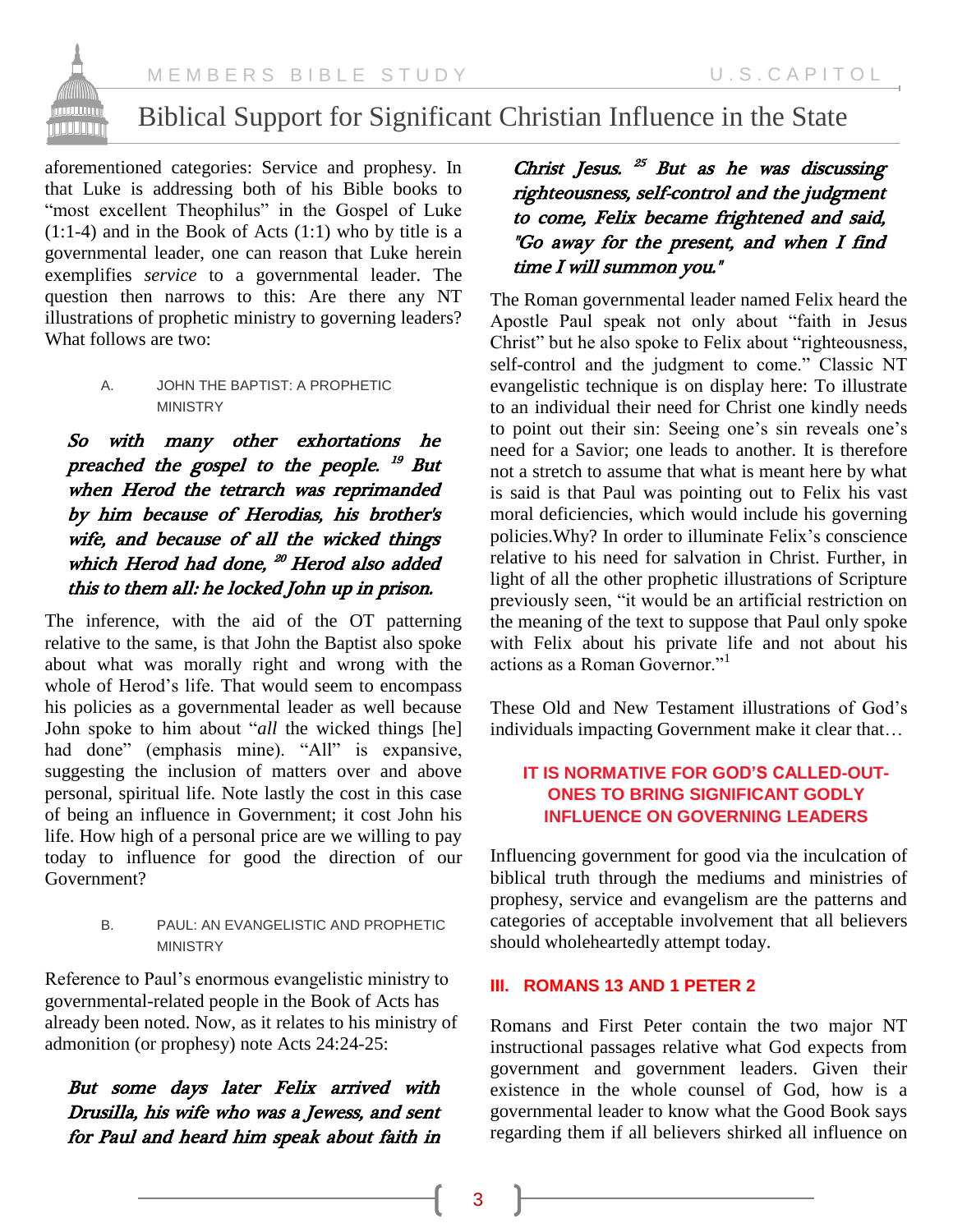

# Biblical Support for Significant Christian Influence in the State

aforementioned categories: Service and prophesy. In that Luke is addressing both of his Bible books to "most excellent Theophilus" in the Gospel of Luke (1:1-4) and in the Book of Acts (1:1) who by title is a governmental leader, one can reason that Luke herein exemplifies *service* to a governmental leader. The question then narrows to this: Are there any NT illustrations of prophetic ministry to governing leaders? What follows are two:

> A. JOHN THE BAPTIST: A PROPHETIC MINISTRY

So with many other exhortations he preached the gospel to the people. <sup>19</sup> But when Herod the tetrarch was reprimanded by him because of Herodias, his brother's wife, and because of all the wicked things which Herod had done, <sup>20</sup> Herod also added this to them all: he locked John up in prison.

The inference, with the aid of the OT patterning relative to the same, is that John the Baptist also spoke about what was morally right and wrong with the whole of Herod's life. That would seem to encompass his policies as a governmental leader as well because John spoke to him about "*all* the wicked things [he] had done" (emphasis mine). "All" is expansive, suggesting the inclusion of matters over and above personal, spiritual life. Note lastly the cost in this case of being an influence in Government; it cost John his life. How high of a personal price are we willing to pay today to influence for good the direction of our Government?

> B. PAUL: AN EVANGELISTIC AND PROPHETIC MINISTRY

Reference to Paul's enormous evangelistic ministry to governmental-related people in the Book of Acts has already been noted. Now, as it relates to his ministry of admonition (or prophesy) note Acts 24:24-25:

But some days later Felix arrived with Drusilla, his wife who was a Jewess, and sent for Paul and heard him speak about faith in

Christ Jesus. <sup>25</sup> But as he was discussing righteousness, self-control and the judgment to come, Felix became frightened and said, "Go away for the present, and when I find time I will summon you."

The Roman governmental leader named Felix heard the Apostle Paul speak not only about "faith in Jesus Christ" but he also spoke to Felix about "righteousness, self-control and the judgment to come." Classic NT evangelistic technique is on display here: To illustrate to an individual their need for Christ one kindly needs to point out their sin: Seeing one's sin reveals one's need for a Savior; one leads to another. It is therefore not a stretch to assume that what is meant here by what is said is that Paul was pointing out to Felix his vast moral deficiencies, which would include his governing policies.Why? In order to illuminate Felix's conscience relative to his need for salvation in Christ. Further, in light of all the other prophetic illustrations of Scripture previously seen, "it would be an artificial restriction on the meaning of the text to suppose that Paul only spoke with Felix about his private life and not about his actions as a Roman Governor."<sup>1</sup>

These Old and New Testament illustrations of God's individuals impacting Government make it clear that…

# **IT IS NORMATIVE FOR GOD'S CALLED-OUT-ONES TO BRING SIGNIFICANT GODLY INFLUENCE ON GOVERNING LEADERS**

Influencing government for good via the inculcation of biblical truth through the mediums and ministries of prophesy, service and evangelism are the patterns and categories of acceptable involvement that all believers should wholeheartedly attempt today.

# **III. ROMANS 13 AND 1 PETER 2**

Romans and First Peter contain the two major NT instructional passages relative what God expects from government and government leaders. Given their existence in the whole counsel of God, how is a governmental leader to know what the Good Book says regarding them if all believers shirked all influence on